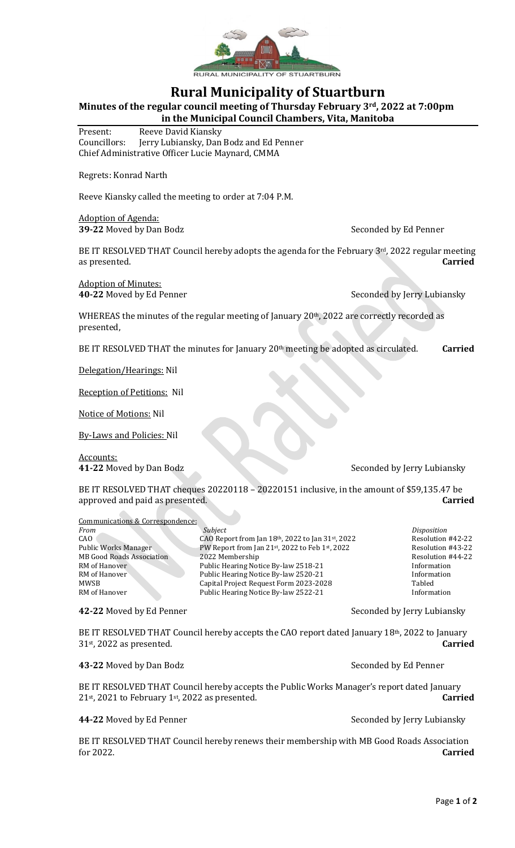

## **Rural Municipality of Stuartburn**

**Minutes of the regular council meeting of Thursday February 3rd, 2022 at 7:00pm**

**in the Municipal Council Chambers, Vita, Manitoba**

Present: Reeve David Kiansky Councillors: Jerry Lubiansky, Dan Bodz and Ed Penner Chief Administrative Officer Lucie Maynard, CMMA

Regrets: Konrad Narth

Reeve Kiansky called the meeting to order at 7:04 P.M.

Adoption of Agenda: **39-22** Moved by Dan Bodz Seconded by Ed Penner

BE IT RESOLVED THAT Council hereby adopts the agenda for the February  $3<sup>rd</sup>$ , 2022 regular meeting as presented. **Carried**

Adoption of Minutes:

**40-22** Moved by Ed Penner Seconded by Jerry Lubiansky

WHEREAS the minutes of the regular meeting of January  $20<sup>th</sup>$ , 2022 are correctly recorded as presented,

BE IT RESOLVED THAT the minutes for January 20<sup>th</sup> meeting be adopted as circulated. **Carried** 

Delegation/Hearings: Nil

Reception of Petitions: Nil

Notice of Motions: Nil

By-Laws and Policies: Nil

Accounts:

**41-22** Moved by Dan Bodz Seconded by Jerry Lubiansky

BE IT RESOLVED THAT cheques 20220118 – 20220151 inclusive, in the amount of \$59,135.47 be approved and paid as presented. **Carried**

Communications & Correspondence: *Subject* Disposition CAO Report from Jan 18<sup>th</sup>, 2022 to Jan 31<sup>st</sup>, 2022 Resolution #42-22 Public Works Manager PW Report from Jan 21st, 2022 to Feb 1st, 2022<br>MB Good Roads Association 2022 Membership<br>Resolution #44-22 **MB Good Roads Association** RM of Hanover Public Hearing Notice By-law 2518-21 Information<br>RM of Hanover Public Hearing Notice By-law 2520-21 Information Public Hearing Notice By-law 2520-21 MWSB Capital Project Request Form 2023-2028 Tabled<br>RM of Hanover Public Hearing Notice By-law 2522-21 RM of Hanover Public Hearing Notice By-law 2522-21

**42-22** Moved by Ed Penner Seconded by Jerry Lubiansky

BE IT RESOLVED THAT Council hereby accepts the CAO report dated January 18<sup>th</sup>, 2022 to January 31st , 2022 as presented. **Carried**

**43-22** Moved by Dan Bodz Seconded by Ed Penner

BE IT RESOLVED THAT Council hereby accepts the Public Works Manager's report dated January 21st, 2021 to February 1st , 2022 as presented. **Carried**

**44-22** Moved by Ed Penner Seconded by Jerry Lubiansky

BE IT RESOLVED THAT Council hereby renews their membership with MB Good Roads Association for 2022. **Carried**